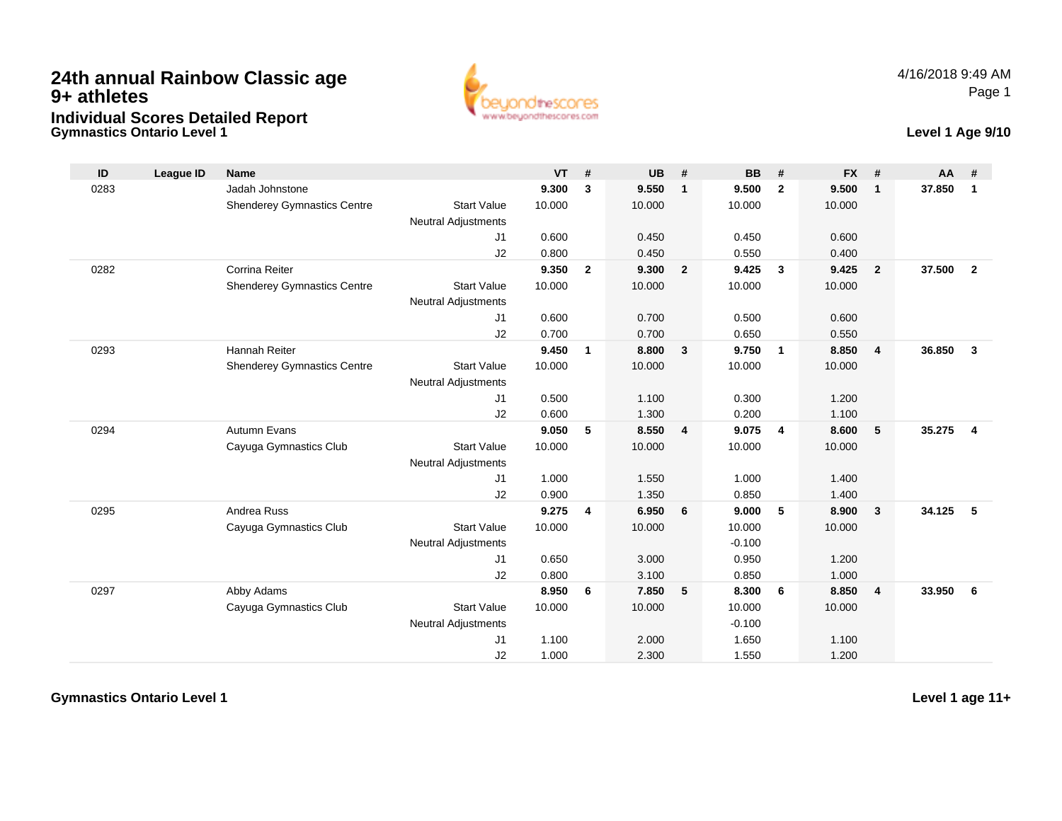## **Gymnastics Ontario Level 124th annual Rainbow Classic age 9+ athletesIndividual Scores Detailed Report**



## **Level 1 Age 9/10**

| ID   | <b>League ID</b> | <b>Name</b>                        |                            | <b>VT</b> | #              | <b>UB</b> | #              | <b>BB</b> | #              | <b>FX</b> | #                       | AA     | #              |
|------|------------------|------------------------------------|----------------------------|-----------|----------------|-----------|----------------|-----------|----------------|-----------|-------------------------|--------|----------------|
| 0283 |                  | Jadah Johnstone                    |                            | 9.300     | 3              | 9.550     | $\mathbf{1}$   | 9.500     | $\overline{2}$ | 9.500     | $\mathbf{1}$            | 37.850 | $\mathbf{1}$   |
|      |                  | <b>Shenderey Gymnastics Centre</b> | <b>Start Value</b>         | 10.000    |                | 10.000    |                | 10.000    |                | 10.000    |                         |        |                |
|      |                  |                                    | <b>Neutral Adjustments</b> |           |                |           |                |           |                |           |                         |        |                |
|      |                  |                                    | J1                         | 0.600     |                | 0.450     |                | 0.450     |                | 0.600     |                         |        |                |
|      |                  |                                    | J2                         | 0.800     |                | 0.450     |                | 0.550     |                | 0.400     |                         |        |                |
| 0282 |                  | Corrina Reiter                     |                            | 9.350     | $\overline{2}$ | 9.300     | $\overline{2}$ | 9.425     | $\mathbf{3}$   | 9.425     | $\overline{2}$          | 37.500 | $\overline{2}$ |
|      |                  | <b>Shenderey Gymnastics Centre</b> | <b>Start Value</b>         | 10.000    |                | 10.000    |                | 10.000    |                | 10.000    |                         |        |                |
|      |                  |                                    | <b>Neutral Adjustments</b> |           |                |           |                |           |                |           |                         |        |                |
|      |                  |                                    | J1                         | 0.600     |                | 0.700     |                | 0.500     |                | 0.600     |                         |        |                |
|      |                  |                                    | J2                         | 0.700     |                | 0.700     |                | 0.650     |                | 0.550     |                         |        |                |
| 0293 |                  | Hannah Reiter                      |                            | 9.450     | $\mathbf{1}$   | 8.800     | 3              | 9.750     | $\overline{1}$ | 8.850     | $\overline{4}$          | 36.850 | $\mathbf{3}$   |
|      |                  | <b>Shenderey Gymnastics Centre</b> | <b>Start Value</b>         | 10.000    |                | 10.000    |                | 10.000    |                | 10.000    |                         |        |                |
|      |                  |                                    | <b>Neutral Adjustments</b> |           |                |           |                |           |                |           |                         |        |                |
|      |                  |                                    | J1                         | 0.500     |                | 1.100     |                | 0.300     |                | 1.200     |                         |        |                |
|      |                  |                                    | J2                         | 0.600     |                | 1.300     |                | 0.200     |                | 1.100     |                         |        |                |
| 0294 |                  | Autumn Evans                       |                            | 9.050     | 5              | 8.550     | 4              | 9.075     | $\overline{4}$ | 8.600     | 5                       | 35.275 | $\overline{4}$ |
|      |                  | Cayuga Gymnastics Club             | <b>Start Value</b>         | 10.000    |                | 10.000    |                | 10.000    |                | 10.000    |                         |        |                |
|      |                  |                                    | <b>Neutral Adjustments</b> |           |                |           |                |           |                |           |                         |        |                |
|      |                  |                                    | J1                         | 1.000     |                | 1.550     |                | 1.000     |                | 1.400     |                         |        |                |
|      |                  |                                    | J2                         | 0.900     |                | 1.350     |                | 0.850     |                | 1.400     |                         |        |                |
| 0295 |                  | Andrea Russ                        |                            | 9.275     | 4              | 6.950     | 6              | 9.000     | 5              | 8.900     | $\overline{\mathbf{3}}$ | 34.125 | 5              |
|      |                  | Cayuga Gymnastics Club             | <b>Start Value</b>         | 10.000    |                | 10.000    |                | 10.000    |                | 10.000    |                         |        |                |
|      |                  |                                    | <b>Neutral Adjustments</b> |           |                |           |                | $-0.100$  |                |           |                         |        |                |
|      |                  |                                    | J1                         | 0.650     |                | 3.000     |                | 0.950     |                | 1.200     |                         |        |                |
|      |                  |                                    | J2                         | 0.800     |                | 3.100     |                | 0.850     |                | 1.000     |                         |        |                |
| 0297 |                  | Abby Adams                         |                            | 8.950     | 6              | 7.850     | 5              | 8.300     | - 6            | 8.850     | $\overline{4}$          | 33.950 | 6              |
|      |                  | Cayuga Gymnastics Club             | <b>Start Value</b>         | 10.000    |                | 10.000    |                | 10.000    |                | 10.000    |                         |        |                |
|      |                  |                                    | <b>Neutral Adjustments</b> |           |                |           |                | $-0.100$  |                |           |                         |        |                |
|      |                  |                                    | J1                         | 1.100     |                | 2.000     |                | 1.650     |                | 1.100     |                         |        |                |
|      |                  |                                    | J2                         | 1.000     |                | 2.300     |                | 1.550     |                | 1.200     |                         |        |                |

**Gymnastics Ontario Level 1**

**Level 1 age 11+**